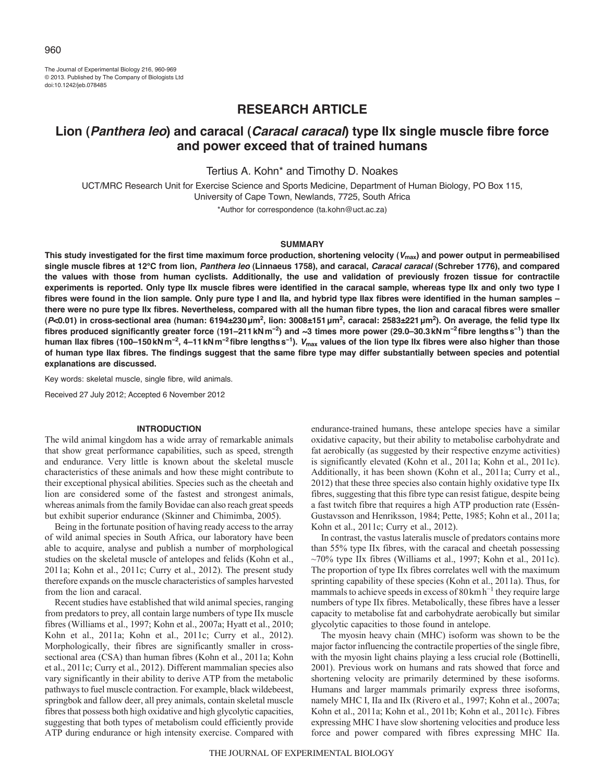The Journal of Experimental Biology 216, 960-969 © 2013. Published by The Company of Biologists Ltd doi:10.1242/jeb.078485

# **RESEARCH ARTICLE**

# **Lion (***Panthera leo***) and caracal (***Caracal caracal***) type IIx single muscle fibre force and power exceed that of trained humans**

Tertius A. Kohn\* and Timothy D. Noakes

UCT/MRC Research Unit for Exercise Science and Sports Medicine, Department of Human Biology, PO Box 115, University of Cape Town, Newlands, 7725, South Africa

\*Author for correspondence (ta.kohn@uct.ac.za)

## **SUMMARY**

**This study investigated for the first time maximum force production, shortening velocity (***V***max) and power output in permeabilised single muscle fibres at 12°C from lion,** *Panthera leo* **(Linnaeus 1758), and caracal,** *Caracal caracal* **(Schreber 1776), and compared the values with those from human cyclists. Additionally, the use and validation of previously frozen tissue for contractile experiments is reported. Only type IIx muscle fibres were identified in the caracal sample, whereas type IIx and only two type I fibres were found in the lion sample. Only pure type I and IIa, and hybrid type IIax fibres were identified in the human samples – there were no pure type IIx fibres. Nevertheless, compared with all the human fibre types, the lion and caracal fibres were smaller (***P***<0.01) in cross-sectional area (human: 6194±230μm2, lion: 3008±151μm2, caracal: 2583±221μm2). On average, the felid type IIx fibres produced significantly greater force (191–211kNm<sup>−</sup>2) and ~3 times more power (29.0–30.3kNm−<sup>2</sup> fibre lengthss<sup>−</sup>1) than the human IIax fibres (100–150kNm<sup>−</sup>2, 4–11kNm−<sup>2</sup> fibre lengthss<sup>−</sup>1).** *V***max values of the lion type IIx fibres were also higher than those of human type IIax fibres. The findings suggest that the same fibre type may differ substantially between species and potential explanations are discussed.**

Key words: skeletal muscle, single fibre, wild animals.

Received 27 July 2012; Accepted 6 November 2012

# **INTRODUCTION**

The wild animal kingdom has a wide array of remarkable animals that show great performance capabilities, such as speed, strength and endurance. Very little is known about the skeletal muscle characteristics of these animals and how these might contribute to their exceptional physical abilities. Species such as the cheetah and lion are considered some of the fastest and strongest animals, whereas animals from the family Bovidae can also reach great speeds but exhibit superior endurance (Skinner and Chimimba, 2005).

Being in the fortunate position of having ready access to the array of wild animal species in South Africa, our laboratory have been able to acquire, analyse and publish a number of morphological studies on the skeletal muscle of antelopes and felids (Kohn et al., 2011a; Kohn et al., 2011c; Curry et al., 2012). The present study therefore expands on the muscle characteristics of samples harvested from the lion and caracal.

Recent studies have established that wild animal species, ranging from predators to prey, all contain large numbers of type IIx muscle fibres (Williams et al., 1997; Kohn et al., 2007a; Hyatt et al., 2010; Kohn et al., 2011a; Kohn et al., 2011c; Curry et al., 2012). Morphologically, their fibres are significantly smaller in crosssectional area (CSA) than human fibres (Kohn et al., 2011a; Kohn et al., 2011c; Curry et al., 2012). Different mammalian species also vary significantly in their ability to derive ATP from the metabolic pathways to fuel muscle contraction. For example, black wildebeest, springbok and fallow deer, all prey animals, contain skeletal muscle fibres that possess both high oxidative and high glycolytic capacities, suggesting that both types of metabolism could efficiently provide ATP during endurance or high intensity exercise. Compared with endurance-trained humans, these antelope species have a similar oxidative capacity, but their ability to metabolise carbohydrate and fat aerobically (as suggested by their respective enzyme activities) is significantly elevated (Kohn et al., 2011a; Kohn et al., 2011c). Additionally, it has been shown (Kohn et al., 2011a; Curry et al., 2012) that these three species also contain highly oxidative type IIx fibres, suggesting that this fibre type can resist fatigue, despite being a fast twitch fibre that requires a high ATP production rate (Essén-Gustavsson and Henriksson, 1984; Pette, 1985; Kohn et al., 2011a; Kohn et al., 2011c; Curry et al., 2012).

In contrast, the vastus lateralis muscle of predators contains more than 55% type IIx fibres, with the caracal and cheetah possessing  $\sim$ 70% type IIx fibres (Williams et al., 1997; Kohn et al., 2011c). The proportion of type IIx fibres correlates well with the maximum sprinting capability of these species (Kohn et al., 2011a). Thus, for mammals to achieve speeds in excess of  $80 \text{ km h}^{-1}$  they require large numbers of type IIx fibres. Metabolically, these fibres have a lesser capacity to metabolise fat and carbohydrate aerobically but similar glycolytic capacities to those found in antelope.

The myosin heavy chain (MHC) isoform was shown to be the major factor influencing the contractile properties of the single fibre, with the myosin light chains playing a less crucial role (Bottinelli, 2001). Previous work on humans and rats showed that force and shortening velocity are primarily determined by these isoforms. Humans and larger mammals primarily express three isoforms, namely MHC I, IIa and IIx (Rivero et al., 1997; Kohn et al., 2007a; Kohn et al., 2011a; Kohn et al., 2011b; Kohn et al., 2011c). Fibres expressing MHC I have slow shortening velocities and produce less force and power compared with fibres expressing MHC IIa.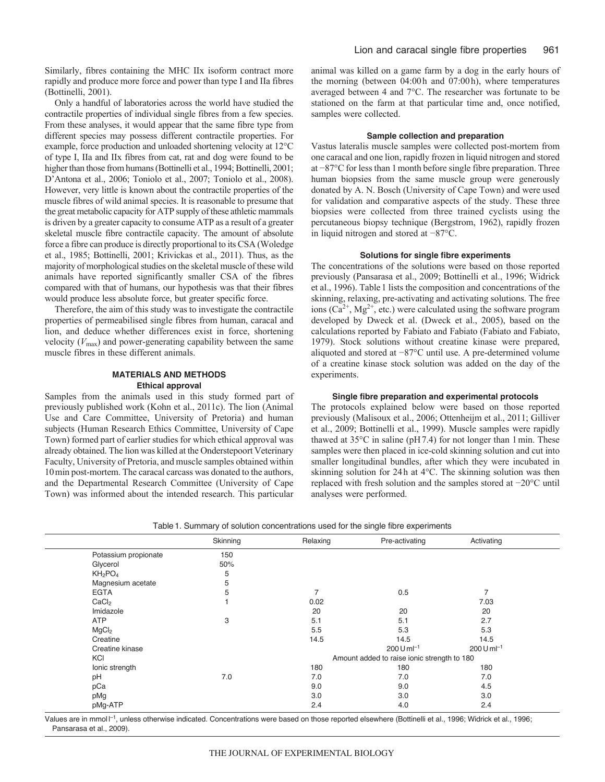Similarly, fibres containing the MHC IIx isoform contract more rapidly and produce more force and power than type I and IIa fibres (Bottinelli, 2001).

Only a handful of laboratories across the world have studied the contractile properties of individual single fibres from a few species. From these analyses, it would appear that the same fibre type from different species may possess different contractile properties. For example, force production and unloaded shortening velocity at 12°C of type I, IIa and IIx fibres from cat, rat and dog were found to be higher than those from humans (Bottinelli et al., 1994; Bottinelli, 2001; D'Antona et al., 2006; Toniolo et al., 2007; Toniolo et al., 2008). However, very little is known about the contractile properties of the muscle fibres of wild animal species. It is reasonable to presume that the great metabolic capacity for ATP supply of these athletic mammals is driven by a greater capacity to consume ATP as a result of a greater skeletal muscle fibre contractile capacity. The amount of absolute force a fibre can produce is directly proportional to its CSA (Woledge et al., 1985; Bottinelli, 2001; Krivickas et al., 2011). Thus, as the majority of morphological studies on the skeletal muscle of these wild animals have reported significantly smaller CSA of the fibres compared with that of humans, our hypothesis was that their fibres would produce less absolute force, but greater specific force.

Therefore, the aim of this study was to investigate the contractile properties of permeabilised single fibres from human, caracal and lion, and deduce whether differences exist in force, shortening velocity (*V*max) and power-generating capability between the same muscle fibres in these different animals.

# **MATERIALS AND METHODS Ethical approval**

Samples from the animals used in this study formed part of previously published work (Kohn et al., 2011c). The lion (Animal Use and Care Committee, University of Pretoria) and human subjects (Human Research Ethics Committee, University of Cape Town) formed part of earlier studies for which ethical approval was already obtained. The lion was killed at the Onderstepoort Veterinary Faculty, University of Pretoria, and muscle samples obtained within 10min post-mortem. The caracal carcass was donated to the authors, and the Departmental Research Committee (University of Cape Town) was informed about the intended research. This particular

animal was killed on a game farm by a dog in the early hours of the morning (between 04:00h and 07:00h), where temperatures averaged between 4 and 7°C. The researcher was fortunate to be stationed on the farm at that particular time and, once notified, samples were collected.

## **Sample collection and preparation**

Vastus lateralis muscle samples were collected post-mortem from one caracal and one lion, rapidly frozen in liquid nitrogen and stored at −87°C for less than 1month before single fibre preparation. Three human biopsies from the same muscle group were generously donated by A. N. Bosch (University of Cape Town) and were used for validation and comparative aspects of the study. These three biopsies were collected from three trained cyclists using the percutaneous biopsy technique (Bergstrom, 1962), rapidly frozen in liquid nitrogen and stored at −87°C.

## **Solutions for single fibre experiments**

The concentrations of the solutions were based on those reported previously (Pansarasa et al., 2009; Bottinelli et al., 1996; Widrick et al., 1996). Table1 lists the composition and concentrations of the skinning, relaxing, pre-activating and activating solutions. The free ions  $(Ca^{2+}, Mg^{2+}, etc.)$  were calculated using the software program developed by Dweck et al. (Dweck et al., 2005), based on the calculations reported by Fabiato and Fabiato (Fabiato and Fabiato, 1979). Stock solutions without creatine kinase were prepared, aliquoted and stored at −87°C until use. A pre-determined volume of a creatine kinase stock solution was added on the day of the experiments.

## **Single fibre preparation and experimental protocols**

The protocols explained below were based on those reported previously (Malisoux et al., 2006; Ottenheijm et al., 2011; Gilliver et al., 2009; Bottinelli et al., 1999). Muscle samples were rapidly thawed at 35°C in saline (pH7.4) for not longer than 1min. These samples were then placed in ice-cold skinning solution and cut into smaller longitudinal bundles, after which they were incubated in skinning solution for 24h at 4°C. The skinning solution was then replaced with fresh solution and the samples stored at −20°C until analyses were performed.

| Table 1. Summary of solution concentrations used for the single fibre experiments |  |  |  |
|-----------------------------------------------------------------------------------|--|--|--|
|                                                                                   |  |  |  |

|                                 |          | ັ                                           |                        |                        |  |  |
|---------------------------------|----------|---------------------------------------------|------------------------|------------------------|--|--|
|                                 | Skinning | Relaxing                                    | Pre-activating         | Activating             |  |  |
| Potassium propionate            | 150      |                                             |                        |                        |  |  |
| Glycerol                        | 50%      |                                             |                        |                        |  |  |
| KH <sub>2</sub> PO <sub>4</sub> | 5        |                                             |                        |                        |  |  |
| Magnesium acetate               | 5        |                                             |                        |                        |  |  |
| <b>EGTA</b>                     | 5        | 7                                           | 0.5                    | 7                      |  |  |
| CaCl <sub>2</sub>               |          | 0.02                                        |                        | 7.03                   |  |  |
| Imidazole                       |          | 20                                          | 20                     | 20                     |  |  |
| <b>ATP</b>                      | 3        | 5.1                                         | 5.1                    | 2.7                    |  |  |
| MgCl <sub>2</sub>               |          | 5.5                                         | 5.3                    | 5.3                    |  |  |
| Creatine                        |          | 14.5                                        | 14.5                   | 14.5                   |  |  |
| Creatine kinase                 |          |                                             | $200 \text{ U m}^{-1}$ | $200 \text{ U m}^{-1}$ |  |  |
| KCI                             |          | Amount added to raise ionic strength to 180 |                        |                        |  |  |
| Ionic strength                  |          | 180                                         | 180                    | 180                    |  |  |
| pH                              | 7.0      | 7.0                                         | 7.0                    | 7.0                    |  |  |
| pCa                             |          | 9.0                                         | 9.0                    | 4.5                    |  |  |
| pMg                             |          | 3.0                                         | 3.0                    | 3.0                    |  |  |
| pMg-ATP                         |          | 2.4                                         | 4.0                    | 2.4                    |  |  |

Values are in mmol  $\Gamma^1$ , unless otherwise indicated. Concentrations were based on those reported elsewhere (Bottinelli et al., 1996; Widrick et al., 1996; Pansarasa et al., 2009).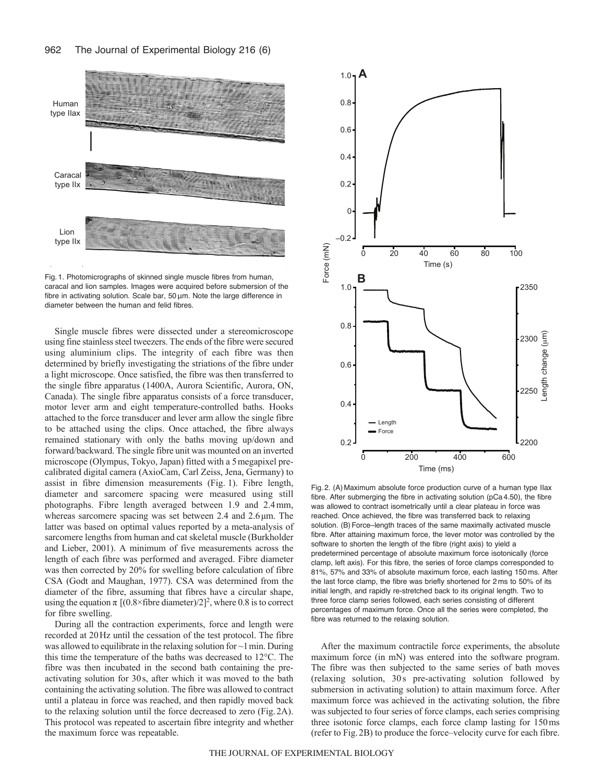

caracal and lion samples. Images were acquired before submersion of the fibre in activating solution. Scale bar, 50 μm. Note the large difference in diameter between the human and felid fibres.

Single muscle fibres were dissected under a stereomicroscope using fine stainless steel tweezers. The ends of the fibre were secured using aluminium clips. The integrity of each fibre was then determined by briefly investigating the striations of the fibre under a light microscope. Once satisfied, the fibre was then transferred to the single fibre apparatus (1400A, Aurora Scientific, Aurora, ON, Canada). The single fibre apparatus consists of a force transducer, motor lever arm and eight temperature-controlled baths. Hooks attached to the force transducer and lever arm allow the single fibre to be attached using the clips. Once attached, the fibre always remained stationary with only the baths moving up/down and forward/backward. The single fibre unit was mounted on an inverted microscope (Olympus, Tokyo, Japan) fitted with a 5megapixel precalibrated digital camera (AxioCam, Carl Zeiss, Jena, Germany) to assist in fibre dimension measurements (Fig. 1). Fibre length, diameter and sarcomere spacing were measured using still photographs. Fibre length averaged between 1.9 and 2.4mm, whereas sarcomere spacing was set between 2.4 and 2.6μm. The latter was based on optimal values reported by a meta-analysis of sarcomere lengths from human and cat skeletal muscle (Burkholder and Lieber, 2001). A minimum of five measurements across the length of each fibre was performed and averaged. Fibre diameter was then corrected by 20% for swelling before calculation of fibre CSA (Godt and Maughan, 1977). CSA was determined from the diameter of the fibre, assuming that fibres have a circular shape, using the equation  $\pi$  [(0.8×fibre diameter)/2]<sup>2</sup>, where 0.8 is to correct for fibre swelling.

During all the contraction experiments, force and length were recorded at 20Hz until the cessation of the test protocol. The fibre was allowed to equilibrate in the relaxing solution for  $\sim$ 1 min. During this time the temperature of the baths was decreased to 12°C. The fibre was then incubated in the second bath containing the preactivating solution for 30s, after which it was moved to the bath containing the activating solution. The fibre was allowed to contract until a plateau in force was reached, and then rapidly moved back to the relaxing solution until the force decreased to zero (Fig.2A). This protocol was repeated to ascertain fibre integrity and whether the maximum force was repeatable.



Fig. 2. (A) Maximum absolute force production curve of a human type IIax fibre. After submerging the fibre in activating solution (pCa 4.50), the fibre was allowed to contract isometrically until a clear plateau in force was reached. Once achieved, the fibre was transferred back to relaxing solution. (B)Force–length traces of the same maximally activated muscle fibre. After attaining maximum force, the lever motor was controlled by the software to shorten the length of the fibre (right axis) to yield a predetermined percentage of absolute maximum force isotonically (force clamp, left axis). For this fibre, the series of force clamps corresponded to 81%, 57% and 33% of absolute maximum force, each lasting 150 ms. After the last force clamp, the fibre was briefly shortened for 2 ms to 50% of its initial length, and rapidly re-stretched back to its original length. Two to three force clamp series followed, each series consisting of different percentages of maximum force. Once all the series were completed, the fibre was returned to the relaxing solution.

After the maximum contractile force experiments, the absolute maximum force (in mN) was entered into the software program. The fibre was then subjected to the same series of bath moves (relaxing solution, 30s pre-activating solution followed by submersion in activating solution) to attain maximum force. After maximum force was achieved in the activating solution, the fibre was subjected to four series of force clamps, each series comprising three isotonic force clamps, each force clamp lasting for 150ms (refer to Fig.2B) to produce the force–velocity curve for each fibre.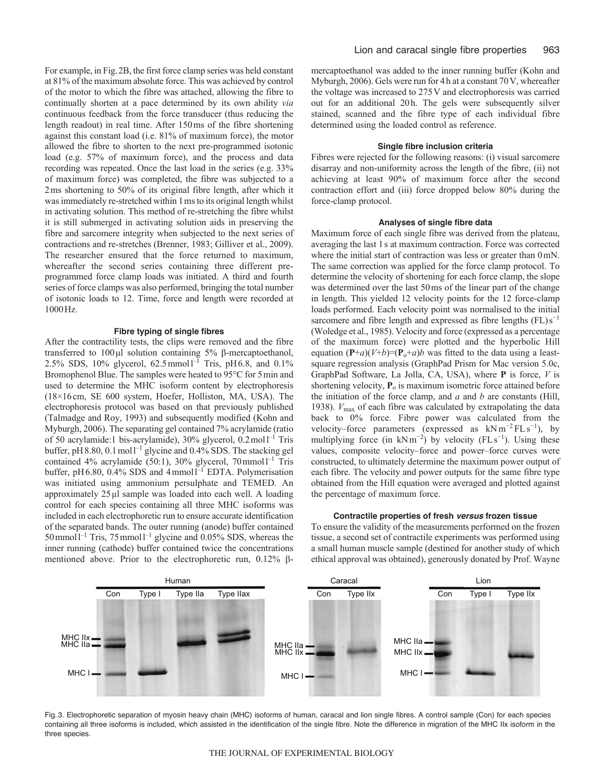For example, in Fig.2B, the first force clamp series was held constant at 81% of the maximum absolute force. This was achieved by control of the motor to which the fibre was attached, allowing the fibre to continually shorten at a pace determined by its own ability *via* continuous feedback from the force transducer (thus reducing the length readout) in real time. After 150ms of the fibre shortening against this constant load (i.e. 81% of maximum force), the motor allowed the fibre to shorten to the next pre-programmed isotonic load (e.g. 57% of maximum force), and the process and data recording was repeated. Once the last load in the series (e.g. 33% of maximum force) was completed, the fibre was subjected to a 2ms shortening to 50% of its original fibre length, after which it was immediately re-stretched within 1ms to its original length whilst in activating solution. This method of re-stretching the fibre whilst it is still submerged in activating solution aids in preserving the fibre and sarcomere integrity when subjected to the next series of contractions and re-stretches (Brenner, 1983; Gilliver et al., 2009). The researcher ensured that the force returned to maximum, whereafter the second series containing three different preprogrammed force clamp loads was initiated. A third and fourth series of force clamps was also performed, bringing the total number of isotonic loads to 12. Time, force and length were recorded at 1000Hz.

## **Fibre typing of single fibres**

After the contractility tests, the clips were removed and the fibre transferred to 100μl solution containing 5% β-mercaptoethanol, 2.5% SDS, 10% glycerol,  $62.5 \text{ mmol}^{-1}$  Tris, pH6.8, and 0.1% Bromophenol Blue. The samples were heated to 95°C for 5min and used to determine the MHC isoform content by electrophoresis (18×16cm, SE 600 system, Hoefer, Holliston, MA, USA). The electrophoresis protocol was based on that previously published (Talmadge and Roy, 1993) and subsequently modified (Kohn and Myburgh, 2006). The separating gel contained 7% acrylamide (ratio of 50 acrylamide:1 bis-acrylamide), 30% glycerol, 0.2 mol<sup>1-1</sup> Tris buffer, pH 8.80, 0.1 mol<sup>1-1</sup> glycine and 0.4% SDS. The stacking gel contained 4% acrylamide (50:1), 30% glycerol, 70 mmol<sup>1-1</sup> Tris buffer, pH6.80, 0.4% SDS and  $4$ mmol<sup>1-1</sup> EDTA. Polymerisation was initiated using ammonium persulphate and TEMED. An approximately 25μl sample was loaded into each well. A loading control for each species containing all three MHC isoforms was included in each electrophoretic run to ensure accurate identification of the separated bands. The outer running (anode) buffer contained  $50$  mmol<sup>1-1</sup> Tris,  $75$  mmol<sup>1-1</sup> glycine and 0.05% SDS, whereas the inner running (cathode) buffer contained twice the concentrations mentioned above. Prior to the electrophoretic run, 0.12% βmercaptoethanol was added to the inner running buffer (Kohn and Myburgh, 2006). Gels were run for 4h at a constant 70V, whereafter the voltage was increased to 275V and electrophoresis was carried out for an additional 20h. The gels were subsequently silver stained, scanned and the fibre type of each individual fibre determined using the loaded control as reference.

## **Single fibre inclusion criteria**

Fibres were rejected for the following reasons: (i) visual sarcomere disarray and non-uniformity across the length of the fibre, (ii) not achieving at least 90% of maximum force after the second contraction effort and (iii) force dropped below 80% during the force-clamp protocol.

#### **Analyses of single fibre data**

Maximum force of each single fibre was derived from the plateau, averaging the last 1s at maximum contraction. Force was corrected where the initial start of contraction was less or greater than 0mN. The same correction was applied for the force clamp protocol. To determine the velocity of shortening for each force clamp, the slope was determined over the last 50ms of the linear part of the change in length. This yielded 12 velocity points for the 12 force-clamp loads performed. Each velocity point was normalised to the initial sarcomere and fibre length and expressed as fibre lengths  $(FL)s^{-1}$ (Woledge et al., 1985). Velocity and force (expressed as a percentage of the maximum force) were plotted and the hyperbolic Hill equation  $(P+a)(V+b)=(P_0+a)b$  was fitted to the data using a leastsquare regression analysis (GraphPad Prism for Mac version 5.0c, GraphPad Software, La Jolla, CA, USA), where **P** is force, *V* is shortening velocity,  $P_0$  is maximum isometric force attained before the initiation of the force clamp, and *a* and *b* are constants (Hill, 1938).  $V_{\text{max}}$  of each fibre was calculated by extrapolating the data back to 0% force. Fibre power was calculated from the velocity–force parameters (expressed as  $kNm^{-2}FLs^{-1}$ ), by multiplying force (in  $kNm^{-2}$ ) by velocity (FLs<sup>-1</sup>). Using these values, composite velocity–force and power–force curves were constructed, to ultimately determine the maximum power output of each fibre. The velocity and power outputs for the same fibre type obtained from the Hill equation were averaged and plotted against the percentage of maximum force.

## **Contractile properties of fresh** *versus* **frozen tissue**

To ensure the validity of the measurements performed on the frozen tissue, a second set of contractile experiments was performed using a small human muscle sample (destined for another study of which ethical approval was obtained), generously donated by Prof. Wayne



Fig. 3. Electrophoretic separation of myosin heavy chain (MHC) isoforms of human, caracal and lion single fibres. A control sample (Con) for each species containing all three isoforms is included, which assisted in the identification of the single fibre. Note the difference in migration of the MHC IIx isoform in the three species.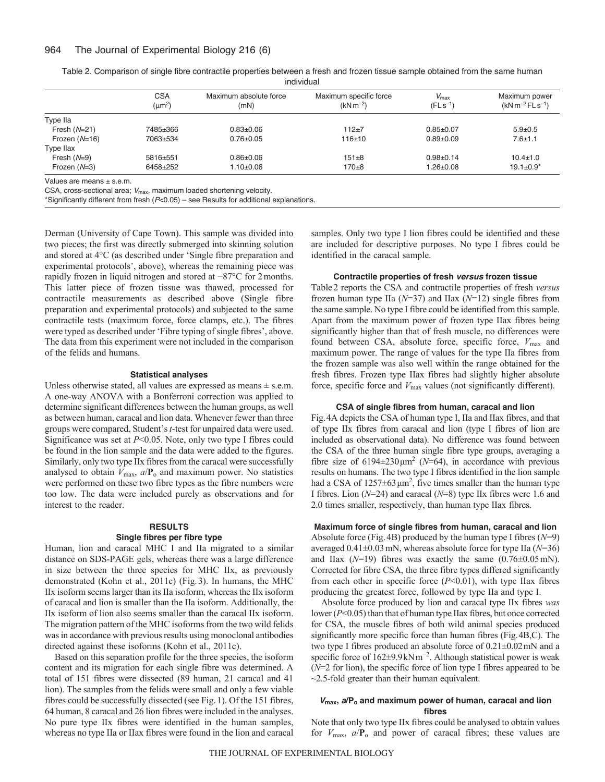|                 | <b>CSA</b><br>$(\mu m^2)$ | Maximum absolute force<br>(mN) | Maximum specific force<br>$(kN m^{-2})$ | $V_{\text{max}}$<br>$(FLs^{-1})$ | Maximum power<br>$(kN m^{-2} FLs^{-1})$ |
|-----------------|---------------------------|--------------------------------|-----------------------------------------|----------------------------------|-----------------------------------------|
| Type IIa        |                           |                                |                                         |                                  |                                         |
| Fresh $(N=21)$  | 7485±366                  | $0.83 + 0.06$                  | $112+7$                                 | $0.85 + 0.07$                    | $5.9 \pm 0.5$                           |
| Frozen $(N=16)$ | 7063±534                  | $0.76 + 0.05$                  | 116±10                                  | $0.89 + 0.09$                    | $7.6 + 1.1$                             |
| Type Ilax       |                           |                                |                                         |                                  |                                         |
| Fresh $(N=9)$   | 5816±551                  | $0.86 + 0.06$                  | $151 + 8$                               | $0.98 + 0.14$                    | $10.4 \pm 1.0$                          |
| Frozen $(N=3)$  | 6458±252                  | $1.10+0.06$                    | $170 + 8$                               | $1.26 \pm 0.08$                  | $19.1 \pm 0.9^*$                        |

Table 2. Comparison of single fibre contractile properties between a fresh and frozen tissue sample obtained from the same human individual

Values are means ± s.e.m.

CSA, cross-sectional area; V<sub>max</sub>, maximum loaded shortening velocity.

\*Significantly different from fresh (*P*<0.05) – see Results for additional explanations.

Derman (University of Cape Town). This sample was divided into two pieces; the first was directly submerged into skinning solution and stored at 4°C (as described under 'Single fibre preparation and experimental protocols', above), whereas the remaining piece was rapidly frozen in liquid nitrogen and stored at −87°C for 2months. This latter piece of frozen tissue was thawed, processed for contractile measurements as described above (Single fibre preparation and experimental protocols) and subjected to the same contractile tests (maximum force, force clamps, etc.). The fibres were typed as described under 'Fibre typing of single fibres', above. The data from this experiment were not included in the comparison of the felids and humans.

#### **Statistical analyses**

Unless otherwise stated, all values are expressed as means  $\pm$  s.e.m. A one-way ANOVA with a Bonferroni correction was applied to determine significant differences between the human groups, as well as between human, caracal and lion data. Whenever fewer than three groups were compared, Student's *t*-test for unpaired data were used. Significance was set at *P*<0.05. Note, only two type I fibres could be found in the lion sample and the data were added to the figures. Similarly, only two type IIx fibres from the caracal were successfully analysed to obtain  $V_{\text{max}}$ ,  $a/P_0$  and maximum power. No statistics were performed on these two fibre types as the fibre numbers were too low. The data were included purely as observations and for interest to the reader.

# **RESULTS Single fibres per fibre type**

Human, lion and caracal MHC I and IIa migrated to a similar distance on SDS-PAGE gels, whereas there was a large difference in size between the three species for MHC IIx, as previously demonstrated (Kohn et al., 2011c) (Fig.3). In humans, the MHC IIx isoform seems larger than its IIa isoform, whereas the IIx isoform of caracal and lion is smaller than the IIa isoform. Additionally, the IIx isoform of lion also seems smaller than the caracal IIx isoform. The migration pattern of the MHC isoforms from the two wild felids was in accordance with previous results using monoclonal antibodies directed against these isoforms (Kohn et al., 2011c).

Based on this separation profile for the three species, the isoform content and its migration for each single fibre was determined. A total of 151 fibres were dissected (89 human, 21 caracal and 41 lion). The samples from the felids were small and only a few viable fibres could be successfully dissected (see Fig.1). Of the 151 fibres, 64 human, 8 caracal and 26 lion fibres were included in the analyses. No pure type IIx fibres were identified in the human samples, whereas no type IIa or IIax fibres were found in the lion and caracal samples. Only two type I lion fibres could be identified and these are included for descriptive purposes. No type I fibres could be identified in the caracal sample.

## **Contractile properties of fresh** *versus* **frozen tissue**

Table2 reports the CSA and contractile properties of fresh *versus* frozen human type IIa (*N*=37) and IIax (*N*=12) single fibres from the same sample. No type I fibre could be identified from this sample. Apart from the maximum power of frozen type IIax fibres being significantly higher than that of fresh muscle, no differences were found between CSA, absolute force, specific force,  $V_{\text{max}}$  and maximum power. The range of values for the type IIa fibres from the frozen sample was also well within the range obtained for the fresh fibres. Frozen type IIax fibres had slightly higher absolute force, specific force and  $V_{\text{max}}$  values (not significantly different).

## **CSA of single fibres from human, caracal and lion**

Fig.4A depicts the CSA of human type I, IIa and IIax fibres, and that of type IIx fibres from caracal and lion (type I fibres of lion are included as observational data). No difference was found between the CSA of the three human single fibre type groups, averaging a fibre size of  $6194\pm230 \mu m^2$  ( $N=64$ ), in accordance with previous results on humans. The two type I fibres identified in the lion sample had a CSA of  $1257 \pm 63 \,\mu m^2$ , five times smaller than the human type I fibres. Lion (*N*=24) and caracal (*N*=8) type IIx fibres were 1.6 and 2.0 times smaller, respectively, than human type IIax fibres.

### **Maximum force of single fibres from human, caracal and lion**

Absolute force (Fig.4B) produced by the human type I fibres (*N*=9) averaged 0.41±0.03mN, whereas absolute force for type IIa (*N*=36) and IIax (*N*=19) fibres was exactly the same (0.76±0.05mN). Corrected for fibre CSA, the three fibre types differed significantly from each other in specific force  $(P<0.01)$ , with type IIax fibres producing the greatest force, followed by type IIa and type I.

Absolute force produced by lion and caracal type IIx fibres *was* lower (*P*<0.05) than that of human type IIax fibres, but once corrected for CSA, the muscle fibres of both wild animal species produced significantly more specific force than human fibres (Fig.4B,C). The two type I fibres produced an absolute force of 0.21±0.02mN and a specific force of  $162 \pm 9.9$  kNm<sup>-2</sup>. Although statistical power is weak (*N*=2 for lion), the specific force of lion type I fibres appeared to be  $\sim$ 2.5-fold greater than their human equivalent.

## *V***max,** *a***/Po and maximum power of human, caracal and lion fibres**

Note that only two type IIx fibres could be analysed to obtain values for  $V_{\text{max}}$ ,  $a/P_0$  and power of caracal fibres; these values are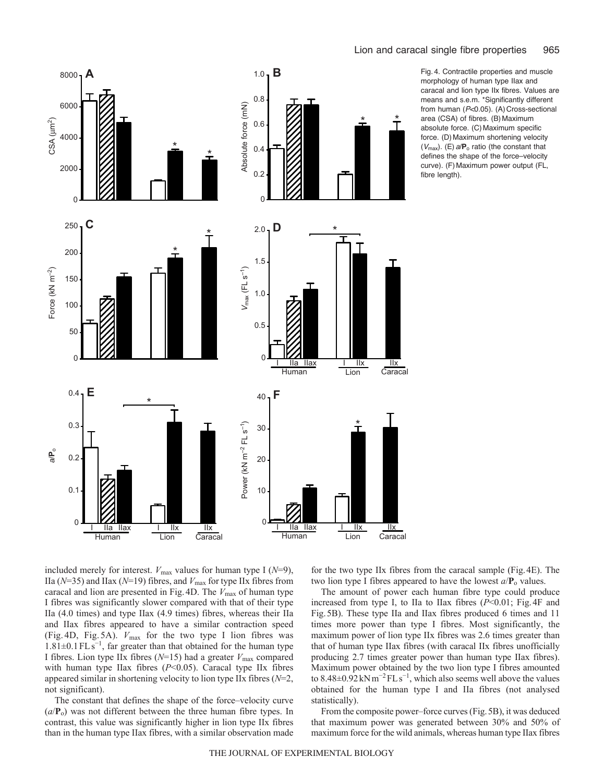

Fig. 4. Contractile properties and muscle morphology of human type IIax and caracal and lion type IIx fibres. Values are means and s.e.m. \*Significantly different from human (*P*<0.05). (A) Cross-sectional area (CSA) of fibres. (B) Maximum absolute force. (C) Maximum specific force. (D) Maximum shortening velocity (*V*max). (E) *a*/**P**<sup>o</sup> ratio (the constant that defines the shape of the force–velocity curve). (F) Maximum power output (FL, fibre length).

included merely for interest.  $V_{\text{max}}$  values for human type I ( $N=9$ ), IIa ( $N=35$ ) and IIax ( $N=19$ ) fibres, and  $V_{\text{max}}$  for type IIx fibres from caracal and lion are presented in Fig.4D. The *V*max of human type I fibres was significantly slower compared with that of their type IIa (4.0 times) and type IIax (4.9 times) fibres, whereas their IIa and IIax fibres appeared to have a similar contraction speed (Fig. 4D, Fig. 5A). *V*max for the two type I lion fibres was 1.81±0.1FLs<sup>−</sup><sup>1</sup> , far greater than that obtained for the human type I fibres. Lion type IIx fibres  $(N=15)$  had a greater  $V_{\text{max}}$  compared with human type IIax fibres (*P*<0.05). Caracal type IIx fibres appeared similar in shortening velocity to lion type IIx fibres (*N*=2, not significant).

The constant that defines the shape of the force–velocity curve  $(a/P<sub>o</sub>)$  was not different between the three human fibre types. In contrast, this value was significantly higher in lion type IIx fibres than in the human type IIax fibres, with a similar observation made for the two type IIx fibres from the caracal sample (Fig.4E). The two lion type I fibres appeared to have the lowest  $a/P_0$  values.

The amount of power each human fibre type could produce increased from type I, to IIa to IIax fibres (*P*<0.01; Fig.4F and Fig.5B). These type IIa and IIax fibres produced 6 times and 11 times more power than type I fibres. Most significantly, the maximum power of lion type IIx fibres was 2.6 times greater than that of human type IIax fibres (with caracal IIx fibres unofficially producing 2.7 times greater power than human type IIax fibres). Maximum power obtained by the two lion type I fibres amounted to  $8.48 \pm 0.92$  kN m<sup>-2</sup> FL s<sup>-1</sup>, which also seems well above the values obtained for the human type I and IIa fibres (not analysed statistically).

From the composite power–force curves (Fig.5B), it was deduced that maximum power was generated between 30% and 50% of maximum force for the wild animals, whereas human type IIax fibres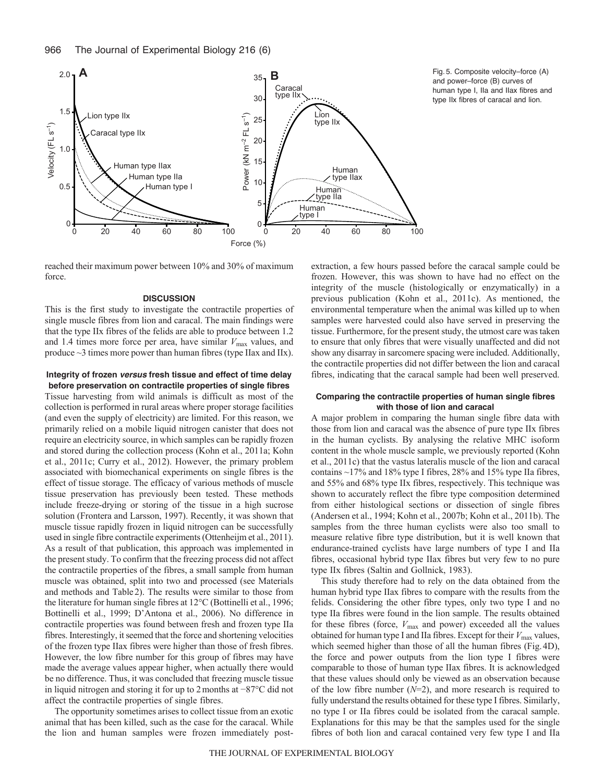



reached their maximum power between 10% and 30% of maximum force.

### **DISCUSSION**

This is the first study to investigate the contractile properties of single muscle fibres from lion and caracal. The main findings were that the type IIx fibres of the felids are able to produce between 1.2 and 1.4 times more force per area, have similar  $V_{\text{max}}$  values, and produce ~3 times more power than human fibres (type IIax and IIx).

## **Integrity of frozen** *versus* **fresh tissue and effect of time delay before preservation on contractile properties of single fibres**

Tissue harvesting from wild animals is difficult as most of the collection is performed in rural areas where proper storage facilities (and even the supply of electricity) are limited. For this reason, we primarily relied on a mobile liquid nitrogen canister that does not require an electricity source, in which samples can be rapidly frozen and stored during the collection process (Kohn et al., 2011a; Kohn et al., 2011c; Curry et al., 2012). However, the primary problem associated with biomechanical experiments on single fibres is the effect of tissue storage. The efficacy of various methods of muscle tissue preservation has previously been tested. These methods include freeze-drying or storing of the tissue in a high sucrose solution (Frontera and Larsson, 1997). Recently, it was shown that muscle tissue rapidly frozen in liquid nitrogen can be successfully used in single fibre contractile experiments (Ottenheijm et al., 2011). As a result of that publication, this approach was implemented in the present study. To confirm that the freezing process did not affect the contractile properties of the fibres, a small sample from human muscle was obtained, split into two and processed (see Materials and methods and Table2). The results were similar to those from the literature for human single fibres at 12°C (Bottinelli et al., 1996; Bottinelli et al., 1999; D'Antona et al., 2006). No difference in contractile properties was found between fresh and frozen type IIa fibres. Interestingly, it seemed that the force and shortening velocities of the frozen type IIax fibres were higher than those of fresh fibres. However, the low fibre number for this group of fibres may have made the average values appear higher, when actually there would be no difference. Thus, it was concluded that freezing muscle tissue in liquid nitrogen and storing it for up to 2months at −87°C did not affect the contractile properties of single fibres.

The opportunity sometimes arises to collect tissue from an exotic animal that has been killed, such as the case for the caracal. While the lion and human samples were frozen immediately postextraction, a few hours passed before the caracal sample could be frozen. However, this was shown to have had no effect on the integrity of the muscle (histologically or enzymatically) in a previous publication (Kohn et al., 2011c). As mentioned, the environmental temperature when the animal was killed up to when samples were harvested could also have served in preserving the tissue. Furthermore, for the present study, the utmost care was taken to ensure that only fibres that were visually unaffected and did not show any disarray in sarcomere spacing were included. Additionally, the contractile properties did not differ between the lion and caracal fibres, indicating that the caracal sample had been well preserved.

## **Comparing the contractile properties of human single fibres with those of lion and caracal**

A major problem in comparing the human single fibre data with those from lion and caracal was the absence of pure type IIx fibres in the human cyclists. By analysing the relative MHC isoform content in the whole muscle sample, we previously reported (Kohn et al., 2011c) that the vastus lateralis muscle of the lion and caracal contains ~17% and 18% type I fibres, 28% and 15% type IIa fibres, and 55% and 68% type IIx fibres, respectively. This technique was shown to accurately reflect the fibre type composition determined from either histological sections or dissection of single fibres (Andersen et al., 1994; Kohn et al., 2007b; Kohn et al., 2011b). The samples from the three human cyclists were also too small to measure relative fibre type distribution, but it is well known that endurance-trained cyclists have large numbers of type I and IIa fibres, occasional hybrid type IIax fibres but very few to no pure type IIx fibres (Saltin and Gollnick, 1983).

This study therefore had to rely on the data obtained from the human hybrid type IIax fibres to compare with the results from the felids. Considering the other fibre types, only two type I and no type IIa fibres were found in the lion sample. The results obtained for these fibres (force, *V*max and power) exceeded all the values obtained for human type I and IIa fibres. Except for their  $V_{\text{max}}$  values, which seemed higher than those of all the human fibres (Fig.4D), the force and power outputs from the lion type I fibres were comparable to those of human type IIax fibres. It is acknowledged that these values should only be viewed as an observation because of the low fibre number (*N*=2), and more research is required to fully understand the results obtained for these type I fibres. Similarly, no type I or IIa fibres could be isolated from the caracal sample. Explanations for this may be that the samples used for the single fibres of both lion and caracal contained very few type I and IIa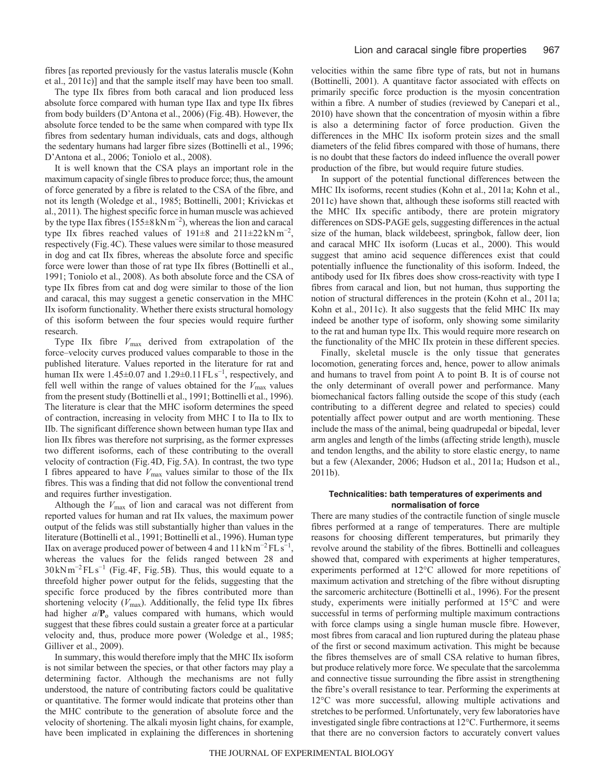The type IIx fibres from both caracal and lion produced less absolute force compared with human type IIax and type IIx fibres from body builders (D'Antona et al., 2006) (Fig.4B). However, the absolute force tended to be the same when compared with type IIx fibres from sedentary human individuals, cats and dogs, although the sedentary humans had larger fibre sizes (Bottinelli et al., 1996; D'Antona et al., 2006; Toniolo et al., 2008).

It is well known that the CSA plays an important role in the maximum capacity of single fibres to produce force; thus, the amount of force generated by a fibre is related to the CSA of the fibre, and not its length (Woledge et al., 1985; Bottinelli, 2001; Krivickas et al., 2011). The highest specific force in human muscle was achieved by the type IIax fibres ( $155\pm8$  kNm<sup>-2</sup>), whereas the lion and caracal type IIx fibres reached values of  $191\pm8$  and  $211\pm22$  kNm<sup>-2</sup>, respectively (Fig.4C). These values were similar to those measured in dog and cat IIx fibres, whereas the absolute force and specific force were lower than those of rat type IIx fibres (Bottinelli et al., 1991; Toniolo et al., 2008). As both absolute force and the CSA of type IIx fibres from cat and dog were similar to those of the lion and caracal, this may suggest a genetic conservation in the MHC IIx isoform functionality. Whether there exists structural homology of this isoform between the four species would require further research.

Type IIx fibre *V*max derived from extrapolation of the force–velocity curves produced values comparable to those in the published literature. Values reported in the literature for rat and human IIx were  $1.45 \pm 0.07$  and  $1.29 \pm 0.11$  FL s<sup>-1</sup>, respectively, and fell well within the range of values obtained for the  $V_{\text{max}}$  values from the present study (Bottinelli et al., 1991; Bottinelli et al., 1996). The literature is clear that the MHC isoform determines the speed of contraction, increasing in velocity from MHC I to IIa to IIx to IIb. The significant difference shown between human type IIax and lion IIx fibres was therefore not surprising, as the former expresses two different isoforms, each of these contributing to the overall velocity of contraction (Fig.4D, Fig.5A). In contrast, the two type I fibres appeared to have *V*max values similar to those of the IIx fibres. This was a finding that did not follow the conventional trend and requires further investigation.

Although the  $V_{\text{max}}$  of lion and caracal was not different from reported values for human and rat IIx values, the maximum power output of the felids was still substantially higher than values in the literature (Bottinelli et al., 1991; Bottinelli et al., 1996). Human type IIax on average produced power of between 4 and  $11 \text{ kNm}^{-2} \text{FLs}^{-1}$ , whereas the values for the felids ranged between 28 and 30kNm<sup>−</sup>2FLs−<sup>1</sup> (Fig.4F, Fig.5B). Thus, this would equate to a threefold higher power output for the felids, suggesting that the specific force produced by the fibres contributed more than shortening velocity  $(V_{\text{max}})$ . Additionally, the felid type IIx fibres had higher  $a/P_0$  values compared with humans, which would suggest that these fibres could sustain a greater force at a particular velocity and, thus, produce more power (Woledge et al., 1985; Gilliver et al., 2009).

In summary, this would therefore imply that the MHC IIx isoform is not similar between the species, or that other factors may play a determining factor. Although the mechanisms are not fully understood, the nature of contributing factors could be qualitative or quantitative. The former would indicate that proteins other than the MHC contribute to the generation of absolute force and the velocity of shortening. The alkali myosin light chains, for example, have been implicated in explaining the differences in shortening velocities within the same fibre type of rats, but not in humans (Bottinelli, 2001). A quantitave factor associated with effects on primarily specific force production is the myosin concentration within a fibre. A number of studies (reviewed by Canepari et al., 2010) have shown that the concentration of myosin within a fibre is also a determining factor of force production. Given the differences in the MHC IIx isoform protein sizes and the small diameters of the felid fibres compared with those of humans, there is no doubt that these factors do indeed influence the overall power production of the fibre, but would require future studies.

In support of the potential functional differences between the MHC IIx isoforms, recent studies (Kohn et al., 2011a; Kohn et al., 2011c) have shown that, although these isoforms still reacted with the MHC IIx specific antibody, there are protein migratory differences on SDS-PAGE gels, suggesting differences in the actual size of the human, black wildebeest, springbok, fallow deer, lion and caracal MHC IIx isoform (Lucas et al., 2000). This would suggest that amino acid sequence differences exist that could potentially influence the functionality of this isoform. Indeed, the antibody used for IIx fibres does show cross-reactivity with type I fibres from caracal and lion, but not human, thus supporting the notion of structural differences in the protein (Kohn et al., 2011a; Kohn et al., 2011c). It also suggests that the felid MHC IIx may indeed be another type of isoform, only showing some similarity to the rat and human type IIx. This would require more research on the functionality of the MHC IIx protein in these different species.

Finally, skeletal muscle is the only tissue that generates locomotion, generating forces and, hence, power to allow animals and humans to travel from point A to point B. It is of course not the only determinant of overall power and performance. Many biomechanical factors falling outside the scope of this study (each contributing to a different degree and related to species) could potentially affect power output and are worth mentioning. These include the mass of the animal, being quadrupedal or bipedal, lever arm angles and length of the limbs (affecting stride length), muscle and tendon lengths, and the ability to store elastic energy, to name but a few (Alexander, 2006; Hudson et al., 2011a; Hudson et al., 2011b).

## **Technicalities: bath temperatures of experiments and normalisation of force**

There are many studies of the contractile function of single muscle fibres performed at a range of temperatures. There are multiple reasons for choosing different temperatures, but primarily they revolve around the stability of the fibres. Bottinelli and colleagues showed that, compared with experiments at higher temperatures, experiments performed at 12°C allowed for more repetitions of maximum activation and stretching of the fibre without disrupting the sarcomeric architecture (Bottinelli et al., 1996). For the present study, experiments were initially performed at 15°C and were successful in terms of performing multiple maximum contractions with force clamps using a single human muscle fibre. However, most fibres from caracal and lion ruptured during the plateau phase of the first or second maximum activation. This might be because the fibres themselves are of small CSA relative to human fibres, but produce relatively more force. We speculate that the sarcolemma and connective tissue surrounding the fibre assist in strengthening the fibre's overall resistance to tear. Performing the experiments at 12°C was more successful, allowing multiple activations and stretches to be performed. Unfortunately, very few laboratories have investigated single fibre contractions at 12°C. Furthermore, it seems that there are no conversion factors to accurately convert values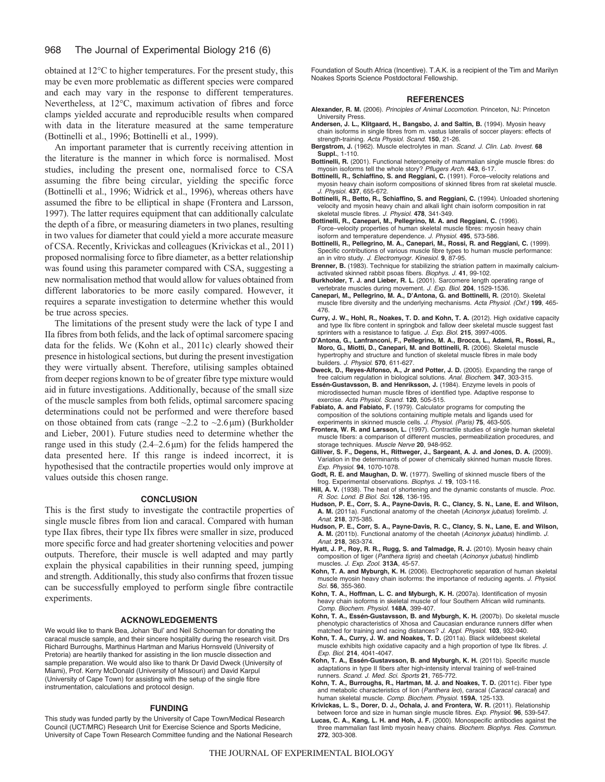obtained at 12°C to higher temperatures. For the present study, this may be even more problematic as different species were compared and each may vary in the response to different temperatures. Nevertheless, at 12°C, maximum activation of fibres and force clamps yielded accurate and reproducible results when compared with data in the literature measured at the same temperature (Bottinelli et al., 1996; Bottinelli et al., 1999).

An important parameter that is currently receiving attention in the literature is the manner in which force is normalised. Most studies, including the present one, normalised force to CSA assuming the fibre being circular, yielding the specific force (Bottinelli et al., 1996; Widrick et al., 1996), whereas others have assumed the fibre to be elliptical in shape (Frontera and Larsson, 1997). The latter requires equipment that can additionally calculate the depth of a fibre, or measuring diameters in two planes, resulting in two values for diameter that could yield a more accurate measure of CSA. Recently, Krivickas and colleagues (Krivickas et al., 2011) proposed normalising force to fibre diameter, as a better relationship was found using this parameter compared with CSA, suggesting a new normalisation method that would allow for values obtained from different laboratories to be more easily compared. However, it requires a separate investigation to determine whether this would be true across species.

The limitations of the present study were the lack of type I and IIa fibres from both felids, and the lack of optimal sarcomere spacing data for the felids. We (Kohn et al., 2011c) clearly showed their presence in histological sections, but during the present investigation they were virtually absent. Therefore, utilising samples obtained from deeper regions known to be of greater fibre type mixture would aid in future investigations. Additionally, because of the small size of the muscle samples from both felids, optimal sarcomere spacing determinations could not be performed and were therefore based on those obtained from cats (range  $\sim$ 2.2 to  $\sim$ 2.6 µm) (Burkholder and Lieber, 2001). Future studies need to determine whether the range used in this study  $(2.4-2.6 \,\mu\text{m})$  for the felids hampered the data presented here. If this range is indeed incorrect, it is hypothesised that the contractile properties would only improve at values outside this chosen range.

## **CONCLUSION**

This is the first study to investigate the contractile properties of single muscle fibres from lion and caracal. Compared with human type IIax fibres, their type IIx fibres were smaller in size, produced more specific force and had greater shortening velocities and power outputs. Therefore, their muscle is well adapted and may partly explain the physical capabilities in their running speed, jumping and strength. Additionally, this study also confirms that frozen tissue can be successfully employed to perform single fibre contractile experiments.

#### **ACKNOWLEDGEMENTS**

We would like to thank Bea, Johan ʻBul' and Neil Schoeman for donating the caracal muscle sample, and their sincere hospitality during the research visit. Drs Richard Burroughs, Marthinus Hartman and Marius Hornsveld (University of Pretoria) are heartily thanked for assisting in the lion muscle dissection and sample preparation. We would also like to thank Dr David Dweck (University of Miami), Prof. Kerry McDonald (University of Missouri) and David Karpul (University of Cape Town) for assisting with the setup of the single fibre instrumentation, calculations and protocol design.

#### **FUNDING**

This study was funded partly by the University of Cape Town/Medical Research Council (UCT/MRC) Research Unit for Exercise Science and Sports Medicine, University of Cape Town Research Committee funding and the National Research Foundation of South Africa (Incentive). T.A.K. is a recipient of the Tim and Marilyn Noakes Sports Science Postdoctoral Fellowship.

#### **REFERENCES**

- **Alexander, R. M.** (2006). *Principles of Animal Locomotion.* Princeton, NJ: Princeton University Press.
- **Andersen, J. L., Klitgaard, H., Bangsbo, J. and Saltin, B.** (1994). Myosin heavy chain isoforms in single fibres from m. vastus lateralis of soccer players: effects of strength-training. *Acta Physiol. Scand.* **150**, 21-26.
- **Bergstrom, J.** (1962). Muscle electrolytes in man. *Scand. J. Clin. Lab. Invest.* **68 Suppl.**, 1-110.
- **Bottinelli, R.** (2001). Functional heterogeneity of mammalian single muscle fibres: do myosin isoforms tell the whole story? *Pflugers Arch.* **443**, 6-17.
- **Bottinelli, R., Schiaffino, S. and Reggiani, C.** (1991). Force–velocity relations and myosin heavy chain isoform compositions of skinned fibres from rat skeletal muscle. *J. Physiol.* **437**, 655-672.
- **Bottinelli, R., Betto, R., Schiaffino, S. and Reggiani, C.** (1994). Unloaded shortening velocity and myosin heavy chain and alkali light chain isoform composition in rat skeletal muscle fibres. *J. Physiol.* **478**, 341-349.
- **Bottinelli, R., Canepari, M., Pellegrino, M. A. and Reggiani, C.** (1996). Force–velocity properties of human skeletal muscle fibres: myosin heavy chain isoform and temperature dependence. *J. Physiol.* **495**, 573-586.
- **Bottinelli, R., Pellegrino, M. A., Canepari, M., Rossi, R. and Reggiani, C.** (1999). Specific contributions of various muscle fibre types to human muscle performance: an in vitro study. *J. Electromyogr. Kinesiol.* **9**, 87-95.
- **Brenner, B.** (1983). Technique for stabilizing the striation pattern in maximally calciumactivated skinned rabbit psoas fibers. *Biophys. J.* **41**, 99-102.

**Burkholder, T. J. and Lieber, R. L.** (2001). Sarcomere length operating range of vertebrate muscles during movement. *J. Exp. Biol.* **204**, 1529-1536.

**Canepari, M., Pellegrino, M. A., D'Antona, G. and Bottinelli, R.** (2010). Skeletal muscle fibre diversity and the underlying mechanisms. *Acta Physiol. (Oxf.)* **199**, 465- 476.

- **Curry, J. W., Hohl, R., Noakes, T. D. and Kohn, T. A.** (2012). High oxidative capacity and type IIx fibre content in springbok and fallow deer skeletal muscle suggest fast sprinters with a resistance to fatigue. *J. Exp. Biol.* **215**, 3997-4005.
- **D'Antona, G., Lanfranconi, F., Pellegrino, M. A., Brocca, L., Adami, R., Rossi, R., Moro, G., Miotti, D., Canepari, M. and Bottinelli, R.** (2006). Skeletal muscle hypertrophy and structure and function of skeletal muscle fibres in male body builders. *J. Physiol.* **570**, 611-627.
- **Dweck, D., Reyes-Alfonso, A., Jr and Potter, J. D.** (2005). Expanding the range of free calcium regulation in biological solutions. *Anal. Biochem.* **347**, 303-315.
- **Essén-Gustavsson, B. and Henriksson, J.** (1984). Enzyme levels in pools of microdissected human muscle fibres of identified type. Adaptive response to exercise. *Acta Physiol. Scand.* **120**, 505-515.
- **Fabiato, A. and Fabiato, F.** (1979). Calculator programs for computing the composition of the solutions containing multiple metals and ligands used for experiments in skinned muscle cells. *J. Physiol. (Paris)* **75**, 463-505.
- **Frontera, W. R. and Larsson, L.** (1997). Contractile studies of single human skeletal muscle fibers: a comparison of different muscles, permeabilization procedures, and storage techniques. *Muscle Nerve* **20**, 948-952.
- **Gilliver, S. F., Degens, H., Rittweger, J., Sargeant, A. J. and Jones, D. A.** (2009). Variation in the determinants of power of chemically skinned human muscle fibres. *Exp. Physiol.* **94**, 1070-1078.
- **Godt, R. E. and Maughan, D. W.** (1977). Swelling of skinned muscle fibers of the frog. Experimental observations. *Biophys. J.* **19**, 103-116.
- **Hill, A. V.** (1938). The heat of shortening and the dynamic constants of muscle. *Proc. R. Soc. Lond. B Biol. Sci.* **126**, 136-195.
- **Hudson, P. E., Corr, S. A., Payne-Davis, R. C., Clancy, S. N., Lane, E. and Wilson, A. M.** (2011a). Functional anatomy of the cheetah (*Acinonyx jubatus*) forelimb. *J. Anat.* **218**, 375-385.
- **Hudson, P. E., Corr, S. A., Payne-Davis, R. C., Clancy, S. N., Lane, E. and Wilson, A. M.** (2011b). Functional anatomy of the cheetah (*Acinonyx jubatus*) hindlimb. *J. Anat.* **218**, 363-374.
- **Hyatt, J. P., Roy, R. R., Rugg, S. and Talmadge, R. J.** (2010). Myosin heavy chain composition of tiger (*Panthera tigris*) and cheetah (*Acinonyx jubatus*) hindlimb muscles. *J. Exp. Zool.* **313A**, 45-57.
- **Kohn, T. A. and Myburgh, K. H.** (2006). Electrophoretic separation of human skeletal muscle myosin heavy chain isoforms: the importance of reducing agents. *J. Physiol. Sci.* **56**, 355-360.
- **Kohn, T. A., Hoffman, L. C. and Myburgh, K. H.** (2007a). Identification of myosin heavy chain isoforms in skeletal muscle of four Southern African wild ruminants. *Comp. Biochem. Physiol.* **148A**, 399-407.
- **Kohn, T. A., Essén-Gustavsson, B. and Myburgh, K. H.** (2007b). Do skeletal muscle phenotypic characteristics of Xhosa and Caucasian endurance runners differ when matched for training and racing distances? *J. Appl. Physiol.* **103**, 932-940.
- **Kohn, T. A., Curry, J. W. and Noakes, T. D.** (2011a). Black wildebeest skeletal muscle exhibits high oxidative capacity and a high proportion of type IIx fibres. *J. Exp. Biol.* **214**, 4041-4047.
- **Kohn, T. A., Essén-Gustavsson, B. and Myburgh, K. H.** (2011b). Specific muscle adaptations in type II fibers after high-intensity interval training of well-trained runners. *Scand. J. Med. Sci. Sports* **21**, 765-772.
- **Kohn, T. A., Burroughs, R., Hartman, M. J. and Noakes, T. D.** (2011c). Fiber type and metabolic characteristics of lion (*Panthera leo*), caracal (*Caracal caracal*) and human skeletal muscle. *Comp. Biochem. Physiol.* **159A**, 125-133.
- **Krivickas, L. S., Dorer, D. J., Ochala, J. and Frontera, W. R.** (2011). Relationship between force and size in human single muscle fibres. *Exp. Physiol.* **96**, 539-547.
- **Lucas, C. A., Kang, L. H. and Hoh, J. F.** (2000). Monospecific antibodies against the three mammalian fast limb myosin heavy chains. *Biochem. Biophys. Res. Commun.* **272**, 303-308.